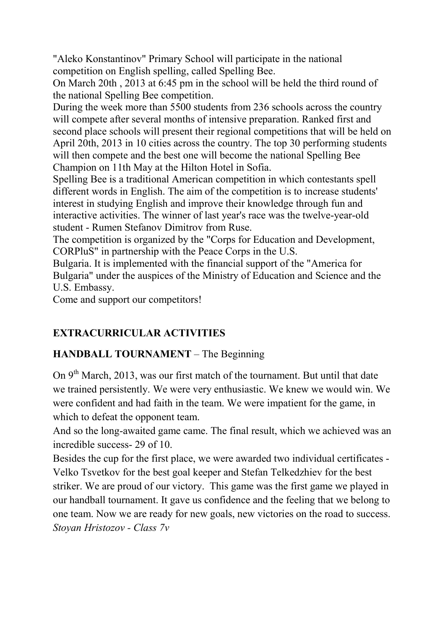"Aleko Konstantinov" Primary School will participate in the national competition on English spelling, called Spelling Bee.

On March 20th , 2013 at 6:45 pm in the school will be held the third round of the national Spelling Bee competition.

During the week more than 5500 students from 236 schools across the country will compete after several months of intensive preparation. Ranked first and second place schools will present their regional competitions that will be held on April 20th, 2013 in 10 cities across the country. The top 30 performing students will then compete and the best one will become the national Spelling Bee Champion on 11th May at the Hilton Hotel in Sofia.

Spelling Bee is a traditional American competition in which contestants spell different words in English. The aim of the competition is to increase students' interest in studying English and improve their knowledge through fun and interactive activities. The winner of last year's race was the twelve-year-old student - Rumen Stefanov Dimitrov from Ruse.

The competition is organized by the "Corps for Education and Development, CORPluS" in partnership with the Peace Corps in the U.S.

Bulgaria. It is implemented with the financial support of the "America for Bulgaria" under the auspices of the Ministry of Education and Science and the U.S. Embassy.

Come and support our competitors!

# **EXTRACURRICULAR ACTIVITIES**

# **HANDBALL TOURNAMENT** – The Beginning

On 9<sup>th</sup> March, 2013, was our first match of the tournament. But until that date we trained persistently. We were very enthusiastic. We knew we would win. We were confident and had faith in the team. We were impatient for the game, in which to defeat the opponent team.

And so the long-awaited game came. The final result, which we achieved was an incredible success- 29 of 10.

Besides the cup for the first place, we were awarded two individual certificates - Velko Tsvetkov for the best goal keeper and Stefan Telkedzhiev for the best striker. We are proud of our victory. This game was the first game we played in our handball tournament. It gave us confidence and the feeling that we belong to one team. Now we are ready for new goals, new victories on the road to success. *Stoyan Hristozov - Class 7v*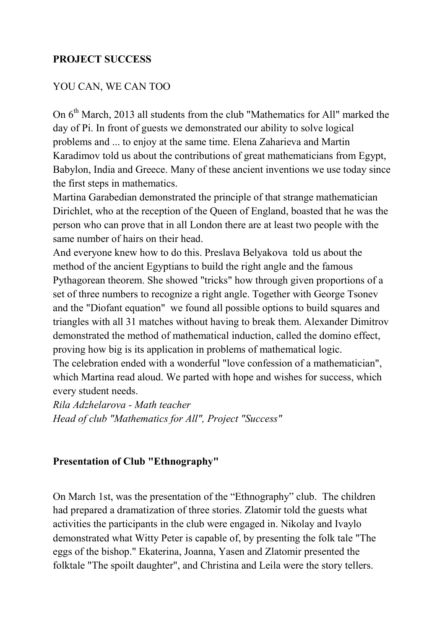### **PROJECT SUCCESS**

#### YOU CAN, WE CAN TOO

On 6<sup>th</sup> March, 2013 all students from the club "Mathematics for All" marked the day of Pi. In front of guests we demonstrated our ability to solve logical problems and ... to enjoy at the same time. Elena Zaharieva and Martin Karadimov told us about the contributions of great mathematicians from Egypt, Babylon, India and Greece. Many of these ancient inventions we use today since the first steps in mathematics.

Martina Garabedian demonstrated the principle of that strange mathematician Dirichlet, who at the reception of the Queen of England, boasted that he was the person who can prove that in all London there are at least two people with the same number of hairs on their head.

And everyone knew how to do this. Preslava Belyakova told us about the method of the ancient Egyptians to build the right angle and the famous Pythagorean theorem. She showed "tricks" how through given proportions of a set of three numbers to recognize a right angle. Together with George Tsonev and the "Diofant equation" we found all possible options to build squares and triangles with all 31 matches without having to break them. Alexander Dimitrov demonstrated the method of mathematical induction, called the domino effect, proving how big is its application in problems of mathematical logic.

The celebration ended with a wonderful "love confession of a mathematician", which Martina read aloud. We parted with hope and wishes for success, which every student needs.

*Rila Adzhelarova - Math teacher Head of club "Mathematics for All", Project "Success"* 

#### **Presentation of Club "Ethnography"**

On March 1st, was the presentation of the "Ethnography" club. The children had prepared a dramatization of three stories. Zlatomir told the guests what activities the participants in the club were engaged in. Nikolay and Ivaylo demonstrated what Witty Peter is capable of, by presenting the folk tale "The eggs of the bishop." Ekaterina, Joanna, Yasen and Zlatomir presented the folktale "The spoilt daughter", and Christina and Leila were the story tellers.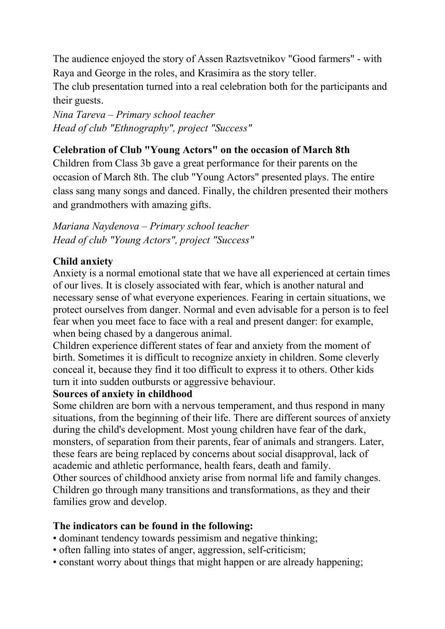The audience enjoyed the story of Assen Raztsvetnikov "Good farmers" - with Raya and George in the roles, and Krasimira as the story teller.

The club presentation turned into a real celebration both for the participants and their guests.

*!ina Tareva – Primary school teacher Head of club "Ethnography", project "Success"* 

## **Celebration of Club "Young Actors" on the occasion of March 8th**

Children from Class 3b gave a great performance for their parents on the occasion of March 8th. The club "Young Actors" presented plays. The entire class sang many songs and danced. Finally, the children presented their mothers and grandmothers with amazing gifts.

*Mariana Naydenova – Primary school teacher Head of club "Young Actors", project "Success"* 

### **Child anxiety**

Anxiety is a normal emotional state that we have all experienced at certain times of our lives. It is closely associated with fear, which is another natural and necessary sense of what everyone experiences. Fearing in certain situations, we protect ourselves from danger. Normal and even advisable for a person is to feel fear when you meet face to face with a real and present danger: for example, when being chased by a dangerous animal.

Children experience different states of fear and anxiety from the moment of birth. Sometimes it is difficult to recognize anxiety in children. Some cleverly conceal it, because they find it too difficult to express it to others. Other kids turn it into sudden outbursts or aggressive behaviour.

#### **Sources of anxiety in childhood**

Some children are born with a nervous temperament, and thus respond in many situations, from the beginning of their life. There are different sources of anxiety during the child's development. Most young children have fear of the dark, monsters, of separation from their parents, fear of animals and strangers. Later, these fears are being replaced by concerns about social disapproval, lack of academic and athletic performance, health fears, death and family. Other sources of childhood anxiety arise from normal life and family changes. Children go through many transitions and transformations, as they and their families grow and develop.

#### **The indicators can be found in the following:**

- dominant tendency towards pessimism and negative thinking;
- often falling into states of anger, aggression, self-criticism;
- constant worry about things that might happen or are already happening;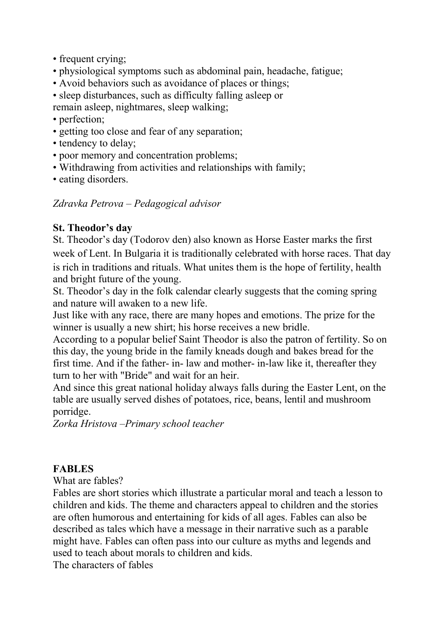- frequent crying;
- physiological symptoms such as abdominal pain, headache, fatigue;
- Avoid behaviors such as avoidance of places or things;
- sleep disturbances, such as difficulty falling asleep or remain asleep, nightmares, sleep walking;
- perfection:
- getting too close and fear of any separation;
- tendency to delay;
- poor memory and concentration problems;
- Withdrawing from activities and relationships with family;
- eating disorders.

### *Zdravka Petrova – Pedagogical advisor*

### **St. Theodor's day**

St. Theodor's day (Todorov den) also known as Horse Easter marks the first week of Lent. In Bulgaria it is traditionally celebrated with horse races. That day is rich in traditions and rituals. What unites them is the hope of fertility, health and bright future of the young.

St. Theodor's day in the folk calendar clearly suggests that the coming spring and nature will awaken to a new life.

Just like with any race, there are many hopes and emotions. The prize for the winner is usually a new shirt; his horse receives a new bridle.

According to a popular belief Saint Theodor is also the patron of fertility. So on this day, the young bride in the family kneads dough and bakes bread for the first time. And if the father- in- law and mother- in-law like it, thereafter they turn to her with "Bride" and wait for an heir.

And since this great national holiday always falls during the Easter Lent, on the table are usually served dishes of potatoes, rice, beans, lentil and mushroom porridge.

*Zorka Hristova –Primary school teacher* 

# **FABLES**

What are fables?

Fables are short stories which illustrate a particular moral and teach a lesson to children and kids. The theme and characters appeal to children and the stories are often humorous and entertaining for kids of all ages. Fables can also be described as tales which have a message in their narrative such as a parable might have. Fables can often pass into our culture as myths and legends and used to teach about morals to children and kids.

The characters of fables